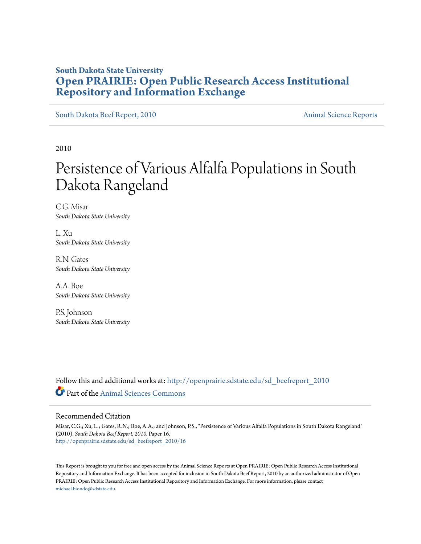# **South Dakota State University [Open PRAIRIE: Open Public Research Access Institutional](http://openprairie.sdstate.edu?utm_source=openprairie.sdstate.edu%2Fsd_beefreport_2010%2F16&utm_medium=PDF&utm_campaign=PDFCoverPages) [Repository and Information Exchange](http://openprairie.sdstate.edu?utm_source=openprairie.sdstate.edu%2Fsd_beefreport_2010%2F16&utm_medium=PDF&utm_campaign=PDFCoverPages)**

[South Dakota Beef Report, 2010](http://openprairie.sdstate.edu/sd_beefreport_2010?utm_source=openprairie.sdstate.edu%2Fsd_beefreport_2010%2F16&utm_medium=PDF&utm_campaign=PDFCoverPages) **[Animal Science Reports](http://openprairie.sdstate.edu/ans_reports?utm_source=openprairie.sdstate.edu%2Fsd_beefreport_2010%2F16&utm_medium=PDF&utm_campaign=PDFCoverPages)** Animal Science Reports

2010

# Persistence of Various Alfalfa Populations in South Dakota Rangeland

C.G. Misar *South Dakota State University*

L. Xu *South Dakota State University*

R.N. Gates *South Dakota State University*

A.A. Boe *South Dakota State University*

P.S. Johnson *South Dakota State University*

Follow this and additional works at: [http://openprairie.sdstate.edu/sd\\_beefreport\\_2010](http://openprairie.sdstate.edu/sd_beefreport_2010?utm_source=openprairie.sdstate.edu%2Fsd_beefreport_2010%2F16&utm_medium=PDF&utm_campaign=PDFCoverPages) Part of the [Animal Sciences Commons](http://network.bepress.com/hgg/discipline/76?utm_source=openprairie.sdstate.edu%2Fsd_beefreport_2010%2F16&utm_medium=PDF&utm_campaign=PDFCoverPages)

#### Recommended Citation

Misar, C.G.; Xu, L.; Gates, R.N.; Boe, A.A.; and Johnson, P.S., "Persistence of Various Alfalfa Populations in South Dakota Rangeland" (2010). *South Dakota Beef Report, 2010.* Paper 16. [http://openprairie.sdstate.edu/sd\\_beefreport\\_2010/16](http://openprairie.sdstate.edu/sd_beefreport_2010/16?utm_source=openprairie.sdstate.edu%2Fsd_beefreport_2010%2F16&utm_medium=PDF&utm_campaign=PDFCoverPages)

This Report is brought to you for free and open access by the Animal Science Reports at Open PRAIRIE: Open Public Research Access Institutional Repository and Information Exchange. It has been accepted for inclusion in South Dakota Beef Report, 2010 by an authorized administrator of Open PRAIRIE: Open Public Research Access Institutional Repository and Information Exchange. For more information, please contact [michael.biondo@sdstate.edu](mailto:michael.biondo@sdstate.edu).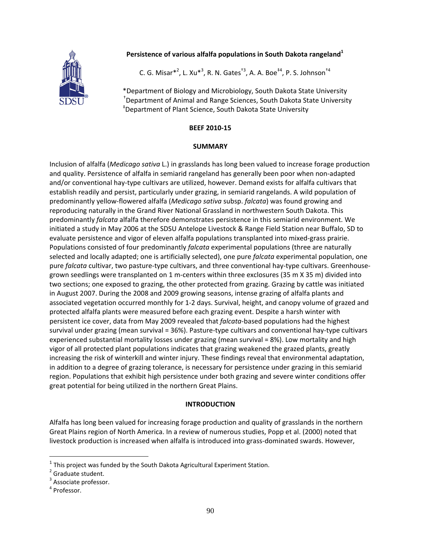#### **Persistence of various alfalfa populations in South Dakota rangeland<sup>1</sup>**



C. G. Misar $*^2$ , L. Xu $*^3$ , R. N. Gates<sup>†3</sup>, A. A. Boe<sup>‡4</sup>, P. S. Johnson<sup>†4</sup>

\*Department of Biology and Microbiology, South Dakota State University † Department of Animal and Range Sciences, South Dakota State University ‡ Department of Plant Science, South Dakota State University

#### **BEEF 2010‐15**

#### **SUMMARY**

Inclusion of alfalfa (*Medicago sativa* L.) in grasslands has long been valued to increase forage production and quality. Persistence of alfalfa in semiarid rangeland has generally been poor when non-adapted and/or conventional hay‐type cultivars are utilized, however. Demand exists for alfalfa cultivars that establish readily and persist, particularly under grazing, in semiarid rangelands. A wild population of predominantly yellow‐flowered alfalfa (*Medicago sativa* subsp. *falcata*) was found growing and reproducing naturally in the Grand River National Grassland in northwestern South Dakota. This predominantly *falcata* alfalfa therefore demonstrates persistence in this semiarid environment. We initiated a study in May 2006 at the SDSU Antelope Livestock & Range Field Station near Buffalo, SD to evaluate persistence and vigor of eleven alfalfa populations transplanted into mixed‐grass prairie. Populations consisted of four predominantly *falcata* experimental populations (three are naturally selected and locally adapted; one is artificially selected), one pure *falcata* experimental population, one pure *falcata* cultivar, two pasture-type cultivars, and three conventional hay-type cultivars. Greenhousegrown seedlings were transplanted on 1 m‐centers within three exclosures (35 m X 35 m) divided into two sections; one exposed to grazing, the other protected from grazing. Grazing by cattle was initiated in August 2007. During the 2008 and 2009 growing seasons, intense grazing of alfalfa plants and associated vegetation occurred monthly for 1‐2 days. Survival, height, and canopy volume of grazed and protected alfalfa plants were measured before each grazing event. Despite a harsh winter with persistent ice cover, data from May 2009 revealed that *falcata*‐based populations had the highest survival under grazing (mean survival = 36%). Pasture-type cultivars and conventional hay-type cultivars experienced substantial mortality losses under grazing (mean survival = 8%). Low mortality and high vigor of all protected plant populations indicates that grazing weakened the grazed plants, greatly increasing the risk of winterkill and winter injury. These findings reveal that environmental adaptation, in addition to a degree of grazing tolerance, is necessary for persistence under grazing in this semiarid region. Populations that exhibit high persistence under both grazing and severe winter conditions offer great potential for being utilized in the northern Great Plains.

#### **INTRODUCTION**

Alfalfa has long been valued for increasing forage production and quality of grasslands in the northern Great Plains region of North America. In a review of numerous studies, Popp et al. (2000) noted that livestock production is increased when alfalfa is introduced into grass‐dominated swards. However,

<sup>&</sup>lt;sup>1</sup> This project was funded by the South Dakota Agricultural Experiment Station.<br><sup>2</sup> Graduate student.

<sup>&</sup>lt;sup>3</sup> Associate professor.  $4$  Professor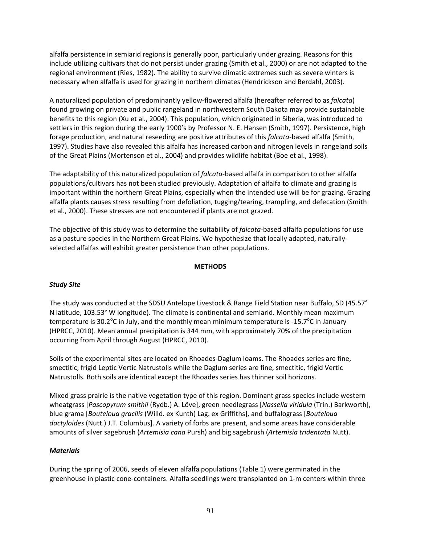alfalfa persistence in semiarid regions is generally poor, particularly under grazing. Reasons for this include utilizing cultivars that do not persist under grazing (Smith et al., 2000) or are not adapted to the regional environment (Ries, 1982). The ability to survive climatic extremes such as severe winters is necessary when alfalfa is used for grazing in northern climates (Hendrickson and Berdahl, 2003).

A naturalized population of predominantly yellow‐flowered alfalfa (hereafter referred to as *falcata*) found growing on private and public rangeland in northwestern South Dakota may provide sustainable benefits to this region (Xu et al., 2004). This population, which originated in Siberia, was introduced to settlers in this region during the early 1900's by Professor N. E. Hansen (Smith, 1997). Persistence, high forage production, and natural reseeding are positive attributes of this *falcata*‐based alfalfa (Smith, 1997). Studies have also revealed this alfalfa has increased carbon and nitrogen levels in rangeland soils of the Great Plains (Mortenson et al., 2004) and provides wildlife habitat (Boe et al., 1998).

The adaptability of this naturalized population of *falcata*‐based alfalfa in comparison to other alfalfa populations/cultivars has not been studied previously. Adaptation of alfalfa to climate and grazing is important within the northern Great Plains, especially when the intended use will be for grazing. Grazing alfalfa plants causes stress resulting from defoliation, tugging/tearing, trampling, and defecation (Smith et al., 2000). These stresses are not encountered if plants are not grazed.

The objective of this study was to determine the suitability of *falcata*‐based alfalfa populations for use as a pasture species in the Northern Great Plains. We hypothesize that locally adapted, naturally‐ selected alfalfas will exhibit greater persistence than other populations.

#### **METHODS**

# *Study Site*

The study was conducted at the SDSU Antelope Livestock & Range Field Station near Buffalo, SD (45.57° N latitude, 103.53° W longitude). The climate is continental and semiarid. Monthly mean maximum temperature is 30.2 $\rm ^o$ C in July, and the monthly mean minimum temperature is -15.7 $\rm ^o$ C in January (HPRCC, 2010). Mean annual precipitation is 344 mm, with approximately 70% of the precipitation occurring from April through August (HPRCC, 2010).

Soils of the experimental sites are located on Rhoades‐Daglum loams. The Rhoades series are fine, smectitic, frigid Leptic Vertic Natrustolls while the Daglum series are fine, smectitic, frigid Vertic Natrustolls. Both soils are identical except the Rhoades series has thinner soil horizons.

Mixed grass prairie is the native vegetation type of this region. Dominant grass species include western wheatgrass [*Pascopyrum smithii* (Rydb.) A. Löve], green needlegrass [*Nassella viridula* (Trin.) Barkworth], blue grama [*Bouteloua gracilis* (Willd. ex Kunth) Lag. ex Griffiths], and buffalograss [*Bouteloua dactyloides* (Nutt.) J.T. Columbus]. A variety of forbs are present, and some areas have considerable amounts of silver sagebrush (*Artemisia cana* Pursh) and big sagebrush (*Artemisia tridentata* Nutt).

#### *Materials*

During the spring of 2006, seeds of eleven alfalfa populations (Table 1) were germinated in the greenhouse in plastic cone‐containers. Alfalfa seedlings were transplanted on 1‐m centers within three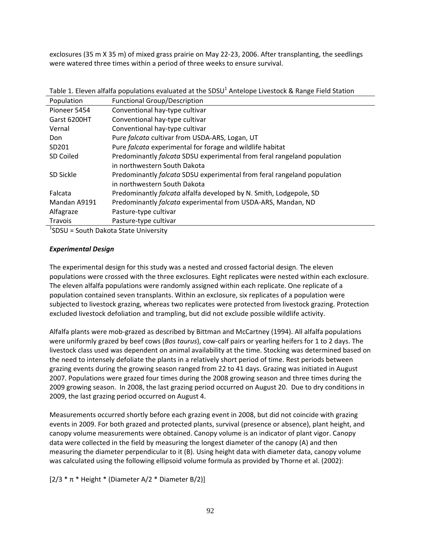exclosures (35 m X 35 m) of mixed grass prairie on May 22‐23, 2006. After transplanting, the seedlings were watered three times within a period of three weeks to ensure survival.

| Population   | <b>Functional Group/Description</b>                                     |
|--------------|-------------------------------------------------------------------------|
| Pioneer 5454 | Conventional hay-type cultivar                                          |
| Garst 6200HT | Conventional hay-type cultivar                                          |
| Vernal       | Conventional hay-type cultivar                                          |
| Don          | Pure falcata cultivar from USDA-ARS, Logan, UT                          |
| SD201        | Pure falcata experimental for forage and wildlife habitat               |
| SD Coiled    | Predominantly falcata SDSU experimental from feral rangeland population |
|              | in northwestern South Dakota                                            |
| SD Sickle    | Predominantly falcata SDSU experimental from feral rangeland population |
|              | in northwestern South Dakota                                            |
| Falcata      | Predominantly falcata alfalfa developed by N. Smith, Lodgepole, SD      |
| Mandan A9191 | Predominantly falcata experimental from USDA-ARS, Mandan, ND            |
| Alfagraze    | Pasture-type cultivar                                                   |
| Travois      | Pasture-type cultivar                                                   |

Table 1. Eleven alfalfa populations evaluated at the SDSU<sup>1</sup> Antelope Livestock & Range Field Station

1 SDSU = South Dakota State University

#### *Experimental Design*

The experimental design for this study was a nested and crossed factorial design. The eleven populations were crossed with the three exclosures. Eight replicates were nested within each exclosure. The eleven alfalfa populations were randomly assigned within each replicate. One replicate of a population contained seven transplants. Within an exclosure, six replicates of a population were subjected to livestock grazing, whereas two replicates were protected from livestock grazing. Protection excluded livestock defoliation and trampling, but did not exclude possible wildlife activity.

Alfalfa plants were mob‐grazed as described by Bittman and McCartney (1994). All alfalfa populations were uniformly grazed by beef cows (*Bos taurus*), cow‐calf pairs or yearling heifers for 1 to 2 days. The livestock class used was dependent on animal availability at the time. Stocking was determined based on the need to intensely defoliate the plants in a relatively short period of time. Rest periods between grazing events during the growing season ranged from 22 to 41 days. Grazing was initiated in August 2007. Populations were grazed four times during the 2008 growing season and three times during the 2009 growing season. In 2008, the last grazing period occurred on August 20. Due to dry conditions in 2009, the last grazing period occurred on August 4.

Measurements occurred shortly before each grazing event in 2008, but did not coincide with grazing events in 2009. For both grazed and protected plants, survival (presence or absence), plant height, and canopy volume measurements were obtained. Canopy volume is an indicator of plant vigor. Canopy data were collected in the field by measuring the longest diameter of the canopy (A) and then measuring the diameter perpendicular to it (B). Using height data with diameter data, canopy volume was calculated using the following ellipsoid volume formula as provided by Thorne et al. (2002):

 $[2/3 * \pi *$  Height \* (Diameter A/2 \* Diameter B/2)]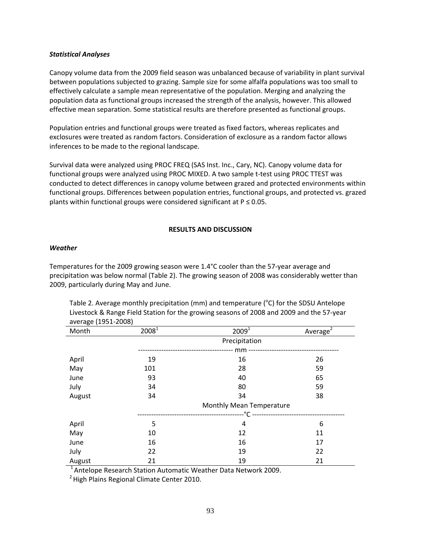#### *Statistical Analyses*

Canopy volume data from the 2009 field season was unbalanced because of variability in plant survival between populations subjected to grazing. Sample size for some alfalfa populations was too small to effectively calculate a sample mean representative of the population. Merging and analyzing the population data as functional groups increased the strength of the analysis, however. This allowed effective mean separation. Some statistical results are therefore presented as functional groups.

Population entries and functional groups were treated as fixed factors, whereas replicates and exclosures were treated as random factors. Consideration of exclosure as a random factor allows inferences to be made to the regional landscape.

Survival data were analyzed using PROC FREQ (SAS Inst. Inc., Cary, NC). Canopy volume data for functional groups were analyzed using PROC MIXED. A two sample t-test using PROC TTEST was conducted to detect differences in canopy volume between grazed and protected environments within functional groups. Differences between population entries, functional groups, and protected vs. grazed plants within functional groups were considered significant at  $P \le 0.05$ .

#### **RESULTS AND DISCUSSION**

#### *Weather*

Temperatures for the 2009 growing season were 1.4°C cooler than the 57‐year average and precipitation was below normal (Table 2). The growing season of 2008 was considerably wetter than 2009, particularly during May and June.

|                     |                                 | Livestock & hange i leiu station for the growing seasons or 2000 and 2005 and the 37-year |             |  |  |
|---------------------|---------------------------------|-------------------------------------------------------------------------------------------|-------------|--|--|
| average (1951-2008) |                                 |                                                                                           |             |  |  |
| Month               | 2008 <sup>1</sup>               | 2009 <sup>1</sup>                                                                         | Average $2$ |  |  |
|                     | Precipitation                   |                                                                                           |             |  |  |
|                     |                                 |                                                                                           |             |  |  |
| April               | 19                              | 16                                                                                        | 26          |  |  |
| May                 | 101                             | 28                                                                                        | 59          |  |  |
| June                | 93                              | 40                                                                                        | 65          |  |  |
| July                | 34                              | 80                                                                                        | 59          |  |  |
| August              | 34                              | 34                                                                                        | 38          |  |  |
|                     | <b>Monthly Mean Temperature</b> |                                                                                           |             |  |  |
|                     |                                 |                                                                                           |             |  |  |
| April               | 5                               | 4                                                                                         | 6           |  |  |
| May                 | 10                              | 12                                                                                        | 11          |  |  |
| June                | 16                              | 16                                                                                        | 17          |  |  |
| July                | 22                              | 19                                                                                        | 22          |  |  |
| August              | 21                              | 19                                                                                        | 21          |  |  |

Table 2. Average monthly precipitation (mm) and temperature ( $^{\circ}$ C) for the SDSU Antelope Livestock & Range Field Station for the growing seasons of 2008 and 2009 and the 57‐year

 $1$ Antelope Research Station Automatic Weather Data Network 2009.

<sup>2</sup> High Plains Regional Climate Center 2010.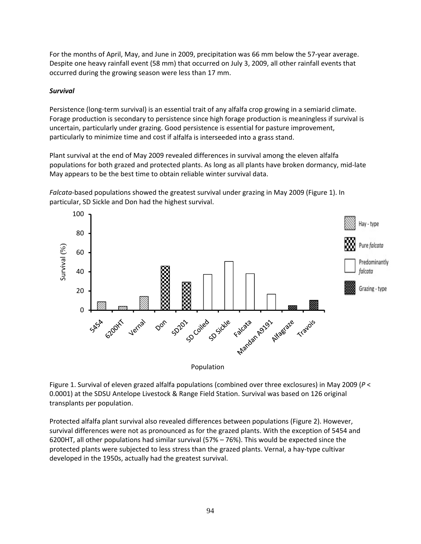For the months of April, May, and June in 2009, precipitation was 66 mm below the 57‐year average. Despite one heavy rainfall event (58 mm) that occurred on July 3, 2009, all other rainfall events that occurred during the growing season were less than 17 mm.

### *Survival*

Persistence (long-term survival) is an essential trait of any alfalfa crop growing in a semiarid climate. Forage production is secondary to persistence since high forage production is meaningless if survival is uncertain, particularly under grazing. Good persistence is essential for pasture improvement, particularly to minimize time and cost if alfalfa is interseeded into a grass stand.

Plant survival at the end of May 2009 revealed differences in survival among the eleven alfalfa populations for both grazed and protected plants. As long as all plants have broken dormancy, mid‐late May appears to be the best time to obtain reliable winter survival data.

Falcata-based populations showed the greatest survival under grazing in May 2009 (Figure 1). In particular, SD Sickle and Don had the highest survival.





Figure 1. Survival of eleven grazed alfalfa populations (combined over three exclosures) in May 2009 (*P* < 0.0001) at the SDSU Antelope Livestock & Range Field Station. Survival was based on 126 original transplants per population.

Protected alfalfa plant survival also revealed differences between populations (Figure 2). However, survival differences were not as pronounced as for the grazed plants. With the exception of 5454 and 6200HT, all other populations had similar survival (57% – 76%). This would be expected since the protected plants were subjected to less stress than the grazed plants. Vernal, a hay‐type cultivar developed in the 1950s, actually had the greatest survival.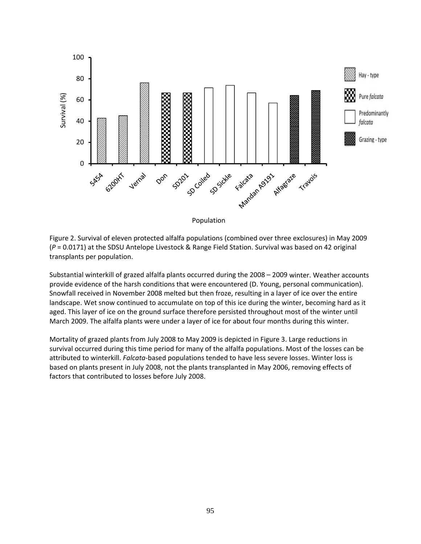

Figure 2. Survival of eleven protected alfalfa populations (combined over three exclosures) in May 2009 (*P* = 0.0171) at the SDSU Antelope Livestock & Range Field Station. Survival was based on 42 original transplants per population.

Substantial winterkill of grazed alfalfa plants occurred during the 2008 – 2009 winter. Weather accounts provide evidence of the harsh conditions that were encountered (D. Young, personal communication). Snowfall received in November 2008 melted but then froze, resulting in a layer of ice over the entire landscape. Wet snow continued to accumulate on top of this ice during the winter, becoming hard as it aged. This layer of ice on the ground surface therefore persisted throughout most of the winter until March 2009. The alfalfa plants were under a layer of ice for about four months during this winter.

Mortality of grazed plants from July 2008 to May 2009 is depicted in Figure 3. Large reductions in survival occurred during this time period for many of the alfalfa populations. Most of the losses can be attributed to winterkill. *Falcata*‐based populations tended to have less severe losses. Winter loss is based on plants present in July 2008, not the plants transplanted in May 2006, removing effects of factors that contributed to losses before July 2008.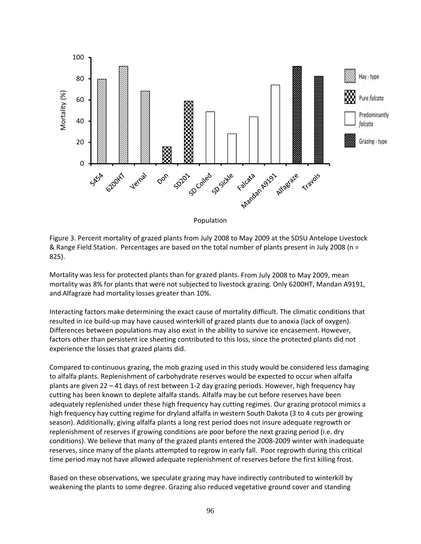

Figure 3. Percent mortality of grazed plants from July 2008 to May 2009 at the SDSU Antelope Livestock & Range Field Station. Percentages are based on the total number of plants present in July 2008 (n = 825).

Mortality was less for protected plants than for grazed plants. From July 2008 to May 2009, mean mortality was 8% for plants that were not subjected to livestock grazing. Only 6200HT, Mandan A9191, and Alfagraze had mortality losses greater than 10%.

Interacting factors make determining the exact cause of mortality difficult. The climatic conditions that resulted in ice build‐up may have caused winterkill of grazed plants due to anoxia (lack of oxygen). Differences between populations may also exist in the ability to survive ice encasement. However, factors other than persistent ice sheeting contributed to this loss, since the protected plants did not experience the losses that grazed plants did.

Compared to continuous grazing, the mob grazing used in this study would be considered less damaging to alfalfa plants. Replenishment of carbohydrate reserves would be expected to occur when alfalfa plants are given 22 – 41 days of rest between 1‐2 day grazing periods. However, high frequency hay cutting has been known to deplete alfalfa stands. Alfalfa may be cut before reserves have been adequately replenished under these high frequency hay cutting regimes. Our grazing protocol mimics a high frequency hay cutting regime for dryland alfalfa in western South Dakota (3 to 4 cuts per growing season). Additionally, giving alfalfa plants a long rest period does not insure adequate regrowth or replenishment of reserves if growing conditions are poor before the next grazing period (i.e. dry conditions). We believe that many of the grazed plants entered the 2008‐2009 winter with inadequate reserves, since many of the plants attempted to regrow in early fall. Poor regrowth during this critical time period may not have allowed adequate replenishment of reserves before the first killing frost.

Based on these observations, we speculate grazing may have indirectly contributed to winterkill by weakening the plants to some degree. Grazing also reduced vegetative ground cover and standing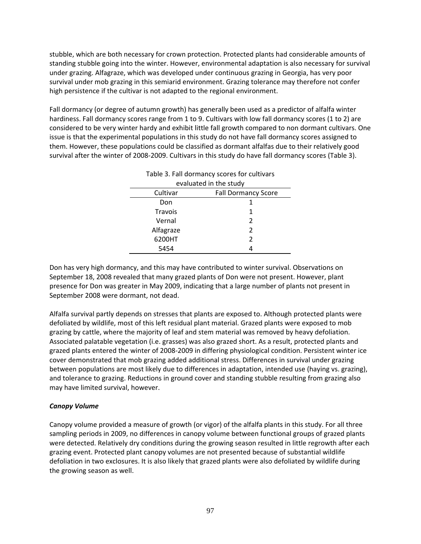stubble, which are both necessary for crown protection. Protected plants had considerable amounts of standing stubble going into the winter. However, environmental adaptation is also necessary for survival under grazing. Alfagraze, which was developed under continuous grazing in Georgia, has very poor survival under mob grazing in this semiarid environment. Grazing tolerance may therefore not confer high persistence if the cultivar is not adapted to the regional environment.

Fall dormancy (or degree of autumn growth) has generally been used as a predictor of alfalfa winter hardiness. Fall dormancy scores range from 1 to 9. Cultivars with low fall dormancy scores (1 to 2) are considered to be very winter hardy and exhibit little fall growth compared to non dormant cultivars. One issue is that the experimental populations in this study do not have fall dormancy scores assigned to them. However, these populations could be classified as dormant alfalfas due to their relatively good survival after the winter of 2008‐2009. Cultivars in this study do have fall dormancy scores (Table 3).

| rapic b. ran dominancy scores for calcivars |                            |  |  |  |
|---------------------------------------------|----------------------------|--|--|--|
| evaluated in the study                      |                            |  |  |  |
| Cultivar                                    | <b>Fall Dormancy Score</b> |  |  |  |
| Don                                         |                            |  |  |  |
| Travois                                     | 1                          |  |  |  |
| Vernal                                      | 2                          |  |  |  |
| Alfagraze                                   | 2                          |  |  |  |
| 6200HT                                      | 2                          |  |  |  |
| 5454                                        |                            |  |  |  |

| Table 3. Fall dormancy scores for cultivars |
|---------------------------------------------|
| evaluated in the study                      |

Don has very high dormancy, and this may have contributed to winter survival. Observations on September 18, 2008 revealed that many grazed plants of Don were not present. However, plant presence for Don was greater in May 2009, indicating that a large number of plants not present in September 2008 were dormant, not dead.

Alfalfa survival partly depends on stresses that plants are exposed to. Although protected plants were defoliated by wildlife, most of this left residual plant material. Grazed plants were exposed to mob grazing by cattle, where the majority of leaf and stem material was removed by heavy defoliation. Associated palatable vegetation (i.e. grasses) was also grazed short. As a result, protected plants and grazed plants entered the winter of 2008‐2009 in differing physiological condition. Persistent winter ice cover demonstrated that mob grazing added additional stress. Differences in survival under grazing between populations are most likely due to differences in adaptation, intended use (haying vs. grazing), and tolerance to grazing. Reductions in ground cover and standing stubble resulting from grazing also may have limited survival, however.

# *Canopy Volume*

Canopy volume provided a measure of growth (or vigor) of the alfalfa plants in this study. For all three sampling periods in 2009, no differences in canopy volume between functional groups of grazed plants were detected. Relatively dry conditions during the growing season resulted in little regrowth after each grazing event. Protected plant canopy volumes are not presented because of substantial wildlife defoliation in two exclosures. It is also likely that grazed plants were also defoliated by wildlife during the growing season as well.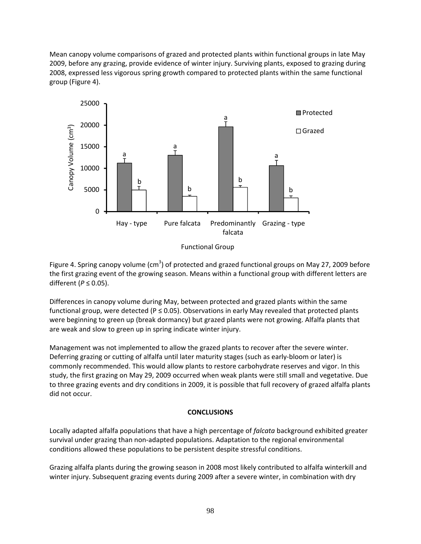Mean canopy volume comparisons of grazed and protected plants within functional groups in late May 2009, before any grazing, provide evidence of winter injury. Surviving plants, exposed to grazing during 2008, expressed less vigorous spring growth compared to protected plants within the same functional group (Figure 4).



Functional Group

Figure 4. Spring canopy volume (cm<sup>3</sup>) of protected and grazed functional groups on May 27, 2009 before the first grazing event of the growing season. Means within a functional group with different letters are different (*P* ≤ 0.05).

Differences in canopy volume during May, between protected and grazed plants within the same functional group, were detected ( $P \le 0.05$ ). Observations in early May revealed that protected plants were beginning to green up (break dormancy) but grazed plants were not growing. Alfalfa plants that are weak and slow to green up in spring indicate winter injury.

Management was not implemented to allow the grazed plants to recover after the severe winter. Deferring grazing or cutting of alfalfa until later maturity stages (such as early‐bloom or later) is commonly recommended. This would allow plants to restore carbohydrate reserves and vigor. In this study, the first grazing on May 29, 2009 occurred when weak plants were still small and vegetative. Due to three grazing events and dry conditions in 2009, it is possible that full recovery of grazed alfalfa plants did not occur.

#### **CONCLUSIONS**

Locally adapted alfalfa populations that have a high percentage of *falcata* background exhibited greater survival under grazing than non‐adapted populations. Adaptation to the regional environmental conditions allowed these populations to be persistent despite stressful conditions.

Grazing alfalfa plants during the growing season in 2008 most likely contributed to alfalfa winterkill and winter injury. Subsequent grazing events during 2009 after a severe winter, in combination with dry